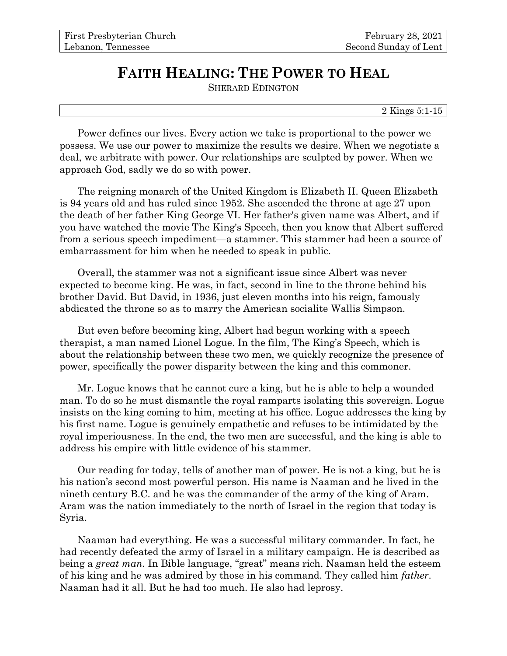## **FAITH HEALING: THE POWER TO HEAL**

SHERARD EDINGTON

2 Kings 5:1-15

Power defines our lives. Every action we take is proportional to the power we possess. We use our power to maximize the results we desire. When we negotiate a deal, we arbitrate with power. Our relationships are sculpted by power. When we approach God, sadly we do so with power.

The reigning monarch of the United Kingdom is Elizabeth II. Queen Elizabeth is 94 years old and has ruled since 1952. She ascended the throne at age 27 upon the death of her father King George VI. Her father's given name was Albert, and if you have watched the movie The King's Speech, then you know that Albert suffered from a serious speech impediment—a stammer. This stammer had been a source of embarrassment for him when he needed to speak in public.

Overall, the stammer was not a significant issue since Albert was never expected to become king. He was, in fact, second in line to the throne behind his brother David. But David, in 1936, just eleven months into his reign, famously abdicated the throne so as to marry the American socialite Wallis Simpson.

But even before becoming king, Albert had begun working with a speech therapist, a man named Lionel Logue. In the film, The King's Speech, which is about the relationship between these two men, we quickly recognize the presence of power, specifically the power disparity between the king and this commoner.

Mr. Logue knows that he cannot cure a king, but he is able to help a wounded man. To do so he must dismantle the royal ramparts isolating this sovereign. Logue insists on the king coming to him, meeting at his office. Logue addresses the king by his first name. Logue is genuinely empathetic and refuses to be intimidated by the royal imperiousness. In the end, the two men are successful, and the king is able to address his empire with little evidence of his stammer.

Our reading for today, tells of another man of power. He is not a king, but he is his nation's second most powerful person. His name is Naaman and he lived in the nineth century B.C. and he was the commander of the army of the king of Aram. Aram was the nation immediately to the north of Israel in the region that today is Syria.

Naaman had everything. He was a successful military commander. In fact, he had recently defeated the army of Israel in a military campaign. He is described as being a *great man.* In Bible language, "great" means rich. Naaman held the esteem of his king and he was admired by those in his command. They called him *father*. Naaman had it all. But he had too much. He also had leprosy.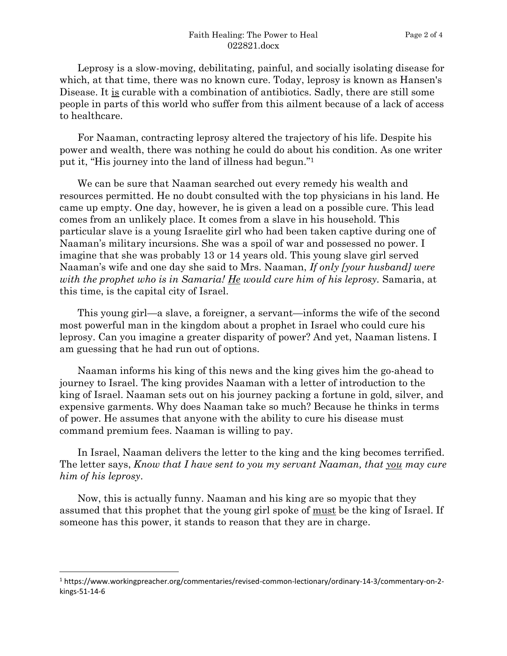Leprosy is a slow-moving, debilitating, painful, and socially isolating disease for which, at that time, there was no known cure. Today, leprosy is known as Hansen's Disease. It is curable with a combination of antibiotics. Sadly, there are still some people in parts of this world who suffer from this ailment because of a lack of access to healthcare.

For Naaman, contracting leprosy altered the trajectory of his life. Despite his power and wealth, there was nothing he could do about his condition. As one writer put it, "His journey into the land of illness had begun." 1

We can be sure that Naaman searched out every remedy his wealth and resources permitted. He no doubt consulted with the top physicians in his land. He came up empty. One day, however, he is given a lead on a possible cure. This lead comes from an unlikely place. It comes from a slave in his household. This particular slave is a young Israelite girl who had been taken captive during one of Naaman's military incursions. She was a spoil of war and possessed no power. I imagine that she was probably 13 or 14 years old. This young slave girl served Naaman's wife and one day she said to Mrs. Naaman, *If only [your husband] were with the prophet who is in Samaria! He would cure him of his leprosy.* Samaria, at this time, is the capital city of Israel.

This young girl—a slave, a foreigner, a servant—informs the wife of the second most powerful man in the kingdom about a prophet in Israel who could cure his leprosy. Can you imagine a greater disparity of power? And yet, Naaman listens. I am guessing that he had run out of options.

Naaman informs his king of this news and the king gives him the go-ahead to journey to Israel. The king provides Naaman with a letter of introduction to the king of Israel. Naaman sets out on his journey packing a fortune in gold, silver, and expensive garments. Why does Naaman take so much? Because he thinks in terms of power. He assumes that anyone with the ability to cure his disease must command premium fees. Naaman is willing to pay.

In Israel, Naaman delivers the letter to the king and the king becomes terrified. The letter says, *Know that I have sent to you my servant Naaman, that you may cure him of his leprosy*.

Now, this is actually funny. Naaman and his king are so myopic that they assumed that this prophet that the young girl spoke of must be the king of Israel. If someone has this power, it stands to reason that they are in charge.

<sup>1</sup> https://www.workingpreacher.org/commentaries/revised-common-lectionary/ordinary-14-3/commentary-on-2 kings-51-14-6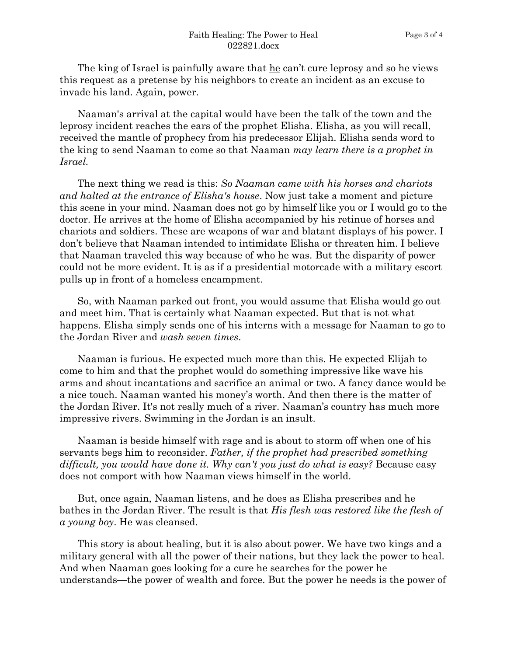The king of Israel is painfully aware that he can't cure leprosy and so he views this request as a pretense by his neighbors to create an incident as an excuse to invade his land. Again, power.

Naaman's arrival at the capital would have been the talk of the town and the leprosy incident reaches the ears of the prophet Elisha. Elisha, as you will recall, received the mantle of prophecy from his predecessor Elijah. Elisha sends word to the king to send Naaman to come so that Naaman *may learn there is a prophet in Israel.*

The next thing we read is this: *So Naaman came with his horses and chariots and halted at the entrance of Elisha's house*. Now just take a moment and picture this scene in your mind. Naaman does not go by himself like you or I would go to the doctor. He arrives at the home of Elisha accompanied by his retinue of horses and chariots and soldiers. These are weapons of war and blatant displays of his power. I don't believe that Naaman intended to intimidate Elisha or threaten him. I believe that Naaman traveled this way because of who he was. But the disparity of power could not be more evident. It is as if a presidential motorcade with a military escort pulls up in front of a homeless encampment.

So, with Naaman parked out front, you would assume that Elisha would go out and meet him. That is certainly what Naaman expected. But that is not what happens. Elisha simply sends one of his interns with a message for Naaman to go to the Jordan River and *wash seven times*.

Naaman is furious. He expected much more than this. He expected Elijah to come to him and that the prophet would do something impressive like wave his arms and shout incantations and sacrifice an animal or two. A fancy dance would be a nice touch. Naaman wanted his money's worth. And then there is the matter of the Jordan River. It's not really much of a river. Naaman's country has much more impressive rivers. Swimming in the Jordan is an insult.

Naaman is beside himself with rage and is about to storm off when one of his servants begs him to reconsider. *Father, if the prophet had prescribed something difficult, you would have done it. Why can't you just do what is easy?* Because easy does not comport with how Naaman views himself in the world.

But, once again, Naaman listens, and he does as Elisha prescribes and he bathes in the Jordan River. The result is that *His flesh was restored like the flesh of a young boy*. He was cleansed.

This story is about healing, but it is also about power. We have two kings and a military general with all the power of their nations, but they lack the power to heal. And when Naaman goes looking for a cure he searches for the power he understands—the power of wealth and force. But the power he needs is the power of